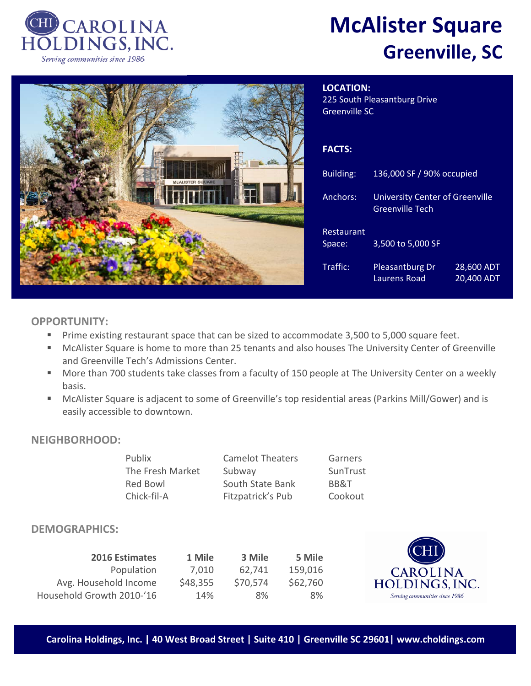

# **McAlister Square Greenville, SC**



| <b>LOCATION:</b><br>225 South Pleasantburg Drive<br><b>Greenville SC</b> |                                                                  |                          |  |  |  |
|--------------------------------------------------------------------------|------------------------------------------------------------------|--------------------------|--|--|--|
| <b>FACTS:</b>                                                            |                                                                  |                          |  |  |  |
| Building:                                                                | 136,000 SF / 90% occupied                                        |                          |  |  |  |
| Anchors:                                                                 | <b>University Center of Greenville</b><br><b>Greenville Tech</b> |                          |  |  |  |
| Restaurant<br>Space:                                                     | 3,500 to 5,000 SF                                                |                          |  |  |  |
| Traffic:                                                                 | <b>Pleasantburg Dr</b><br>Laurens Road                           | 28,600 ADT<br>20,400 ADT |  |  |  |

### **OPPORTUNITY:**

- **Prime existing restaurant space that can be sized to accommodate 3,500 to 5,000 square feet.**
- McAlister Square is home to more than 25 tenants and also houses The University Center of Greenville and Greenville Tech's Admissions Center.
- **More than 700 students take classes from a faculty of 150 people at The University Center on a weekly** basis.
- McAlister Square is adjacent to some of Greenville's top residential areas (Parkins Mill/Gower) and is easily accessible to downtown.

#### **NEIGHBORHOOD:**

| Publix           | <b>Camelot Theaters</b> | Garners  |
|------------------|-------------------------|----------|
| The Fresh Market | Subway                  | SunTrust |
| Red Bowl         | South State Bank        | BB&T     |
| Chick-fil-A      | Fitzpatrick's Pub       | Cookout  |

#### **DEMOGRAPHICS:**

| 2016 Estimates            | 1 Mile   | 3 Mile   | 5 Mile   |
|---------------------------|----------|----------|----------|
| Population                | 7,010    | 62,741   | 159,016  |
| Avg. Household Income     | \$48,355 | \$70,574 | \$62,760 |
| Household Growth 2010-'16 | 14%      | 8%       | 8%       |